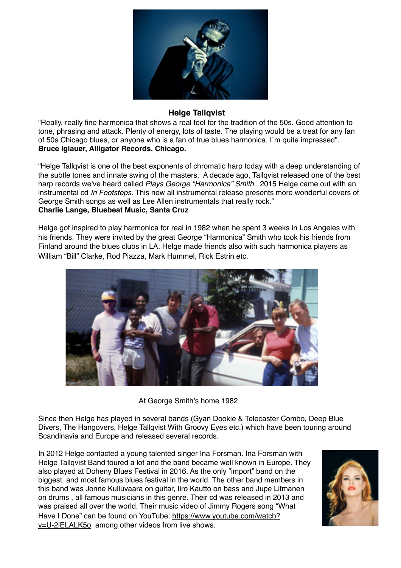

## **Helge Tallqvist**

"Really, really fine harmonica that shows a real feel for the tradition of the 50s. Good attention to tone, phrasing and attack. Plenty of energy, lots of taste. The playing would be a treat for any fan of 50s Chicago blues, or anyone who is a fan of true blues harmonica. I´m quite impressed". **Bruce Iglauer, Alligator Records, Chicago.**

"Helge Tallqvist is one of the best exponents of chromatic harp today with a deep understanding of the subtle tones and innate swing of the masters. A decade ago, Tallqvist released one of the best harp records we've heard called *Plays George "Harmonica" Smith.* 2015 Helge came out with an instrumental cd *In Footsteps*. This new all instrumental release presents more wonderful covers of George Smith songs as well as Lee Allen instrumentals that really rock."

## **Charlie Lange, Bluebeat Music, Santa Cruz**

Helge got inspired to play harmonica for real in 1982 when he spent 3 weeks in Los Angeles with his friends. They were invited by the great George "Harmonica" Smith who took his friends from Finland around the blues clubs in LA. Helge made friends also with such harmonica players as William "Bill" Clarke, Rod Piazza, Mark Hummel, Rick Estrin etc.



At George Smith's home 1982

Since then Helge has played in several bands (Gyan Dookie & Telecaster Combo, Deep Blue Divers, The Hangovers, Helge Tallqvist With Groovy Eyes etc.) which have been touring around Scandinavia and Europe and released several records.

In 2012 Helge contacted a young talented singer Ina Forsman. Ina Forsman with Helge Tallqvist Band toured a lot and the band became well known in Europe. They also played at Doheny Blues Festival in 2016. As the only "import" band on the biggest and most famous blues festival in the world. The other band members in this band was Jonne Kulluvaara on guitar, Iiro Kautto on bass and Jupe Litmanen on drums , all famous musicians in this genre. Their cd was released in 2013 and was praised all over the world. Their music video of Jimmy Rogers song "What Have I Done" [can be found on YouTube: https://www.youtube.com/watch?](https://www.youtube.com/watch?v=U-2iELALK5o) v=U-2iELALK5o among other videos from live shows.